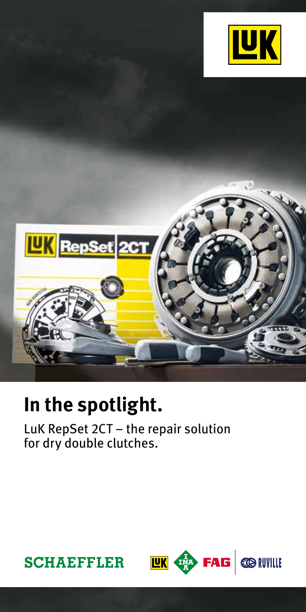



# **In the spotlight.**

LuK RepSet 2CT – the repair solution for dry double clutches.



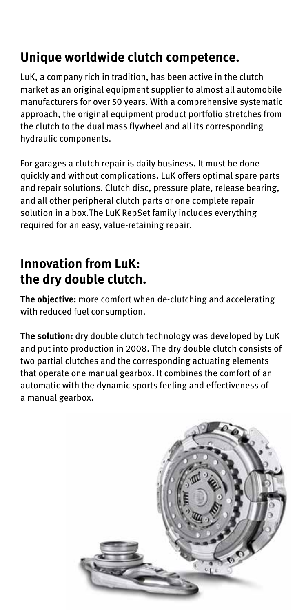## **Unique worldwide clutch competence.**

LuK, a company rich in tradition, has been active in the clutch market as an original equipment supplier to almost all automobile manufacturers for over 50 years. With a comprehensive systematic approach, the original equipment product portfolio stretches from the clutch to the dual mass flywheel and all its corresponding hydraulic components.

For garages a clutch repair is daily business. It must be done quickly and without complications. LuK offers optimal spare parts and repair solutions. Clutch disc, pressure plate, release bearing, and all other peripheral clutch parts or one complete repair solution in a box.The LuK RepSet family includes everything required for an easy, value-retaining repair.

### **Innovation from LuK: the dry double clutch.**

**The objective:** more comfort when de-clutching and accelerating with reduced fuel consumption.

**The solution:** dry double clutch technology was developed by LuK and put into production in 2008. The dry double clutch consists of two partial clutches and the corresponding actuating elements that operate one manual gearbox. It combines the comfort of an automatic with the dynamic sports feeling and effectiveness of a manual gearbox.

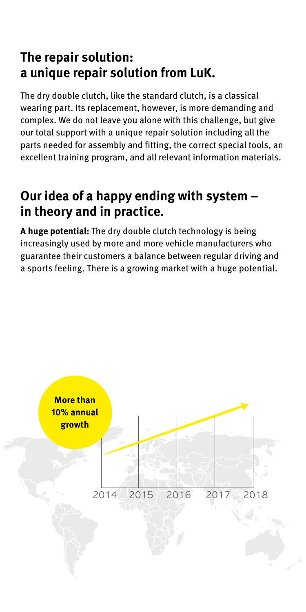### **The repair solution: a unique repair solution from LuK.**

The dry double clutch, like the standard clutch, is a classical wearing part. Its replacement, however, is more demanding and complex. We do not leave you alone with this challenge, but give our total support with a unique repair solution including all the parts needed for assembly and fitting, the correct special tools, an excellent training program, and all relevant information materials.

#### **Our idea of a happy ending with system – in theory and in practice.**

**A huge potential:** The dry double clutch technology is being increasingly used by more and more vehicle manufacturers who guarantee their customers a balance between regular driving and a sports feeling. There is a growing market with a huge potential.

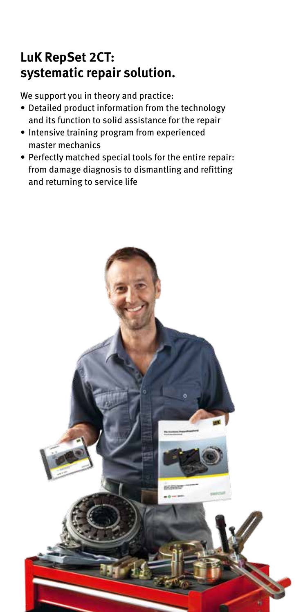### **LuK RepSet 2CT: systematic repair solution.**

We support you in theory and practice:

- Detailed product information from the technology and its function to solid assistance for the repair
- Intensive training program from experienced master mechanics
- Perfectly matched special tools for the entire repair: from damage diagnosis to dismantling and refitting and returning to service life

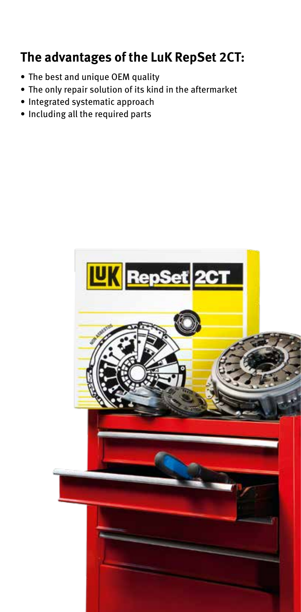### **The advantages of the LuK RepSet 2CT:**

- The best and unique OEM quality
- The only repair solution of its kind in the aftermarket
- Integrated systematic approach
- Including all the required parts